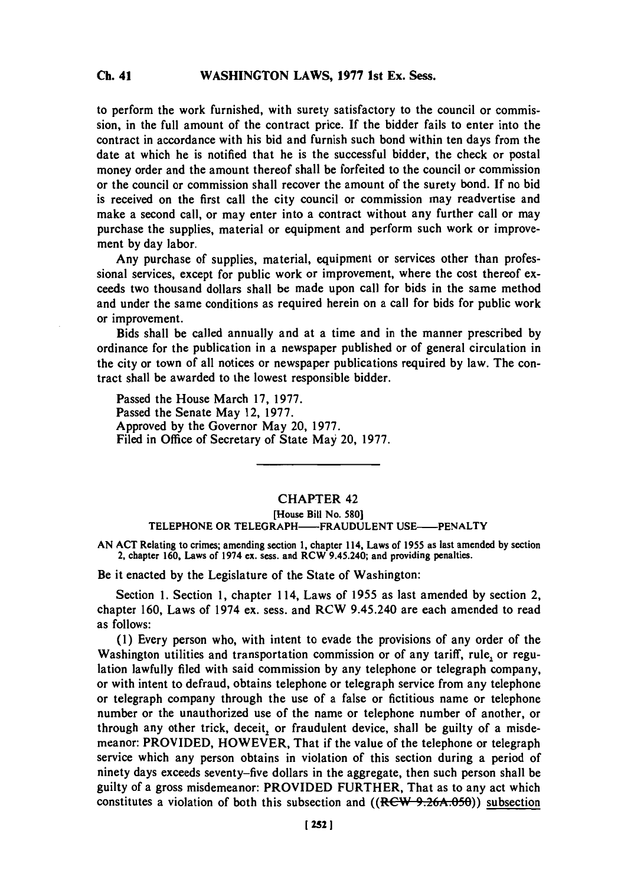to perform the work furnished, with surety satisfactory to the council or commission, in the full amount of the contract price. **If** the bidder fails to enter into the contract in accordance with his bid and furnish such bond within ten days from the date at which he is notified that he is the successful bidder, the check or postal money order and the amount thereof shall be forfeited to the council or commission or the council or commission shall recover the amount of the surety bond. **If** no bid is received on the first call the city council or commission may readvertise and make a second call, or may enter into a contract without any further call or may purchase the supplies, material or equipment and perform such work or improvement **by** day labor.

Any purchase of supplies, material, equipment or services other than professional services, except for public work or improvement, where the cost thereof exceeds two thousand dollars shall be made upon call for bids in the same method and under the same conditions as required herein on a call for bids for public work or improvement.

Bids shall be called annually and at a time and in the manner prescribed **by** ordinance for the publication in a newspaper published or of general circulation in the city or town of all notices or newspaper publications required **by** law. The contract shall be awarded to the lowest responsible bidder.

Passed the House March **17, 1977.** Passed the Senate May 12, **1977.** Approved **by** the Governor May 20, **1977.** Filed in Office of Secretary of State May 20, **1977.**

## CHAPTER 42

## [House **Bill** No. **580] TELEPHONE OR TELEGRAPH-FRAUDULENT USE-PENALTY**

**AN ACT** Relating to crimes; amending section **1,** chapter 114, Laws of **1955** as last amended **by** section 2, chapter **160,** Laws of 1974 ex. sess. and RCW 9.45.240; and providing penalties.

Be it enacted **by** the Legislature of the State of Washington:

Section **1.** Section **1,** chapter 114, Laws of **1955** as last amended **by** section 2, chapter **160,** Laws of 1974 ex. sess. and RCW 9.45.240 are each amended to read as follows:

**(1)** Every person who, with intent to evade the provisions of any order of the Washington utilities and transportation commission or of any tariff, rule., or regulation lawfully filed with said commission **by** any telephone or telegraph company, or with intent to defraud, obtains telephone or telegraph service from any telephone or telegraph company through the use of a false or fictitious name or telephone number or the unauthorized use of the name or telephone number of another, or through any other trick, deceit, or fraudulent device, shall be guilty of a misdemeanor: PROVIDED, HOWEVER, That if the value of the telephone or telegraph service which any person obtains in violation of this section during a period of ninety days exceeds seventy-five dollars in the aggregate, then such person shall be guilty of a gross misdemeanor: PROVIDED FURTHER, That as to any act which constitutes a violation of both this subsection and ((RCW 9.26A.050)) subsection